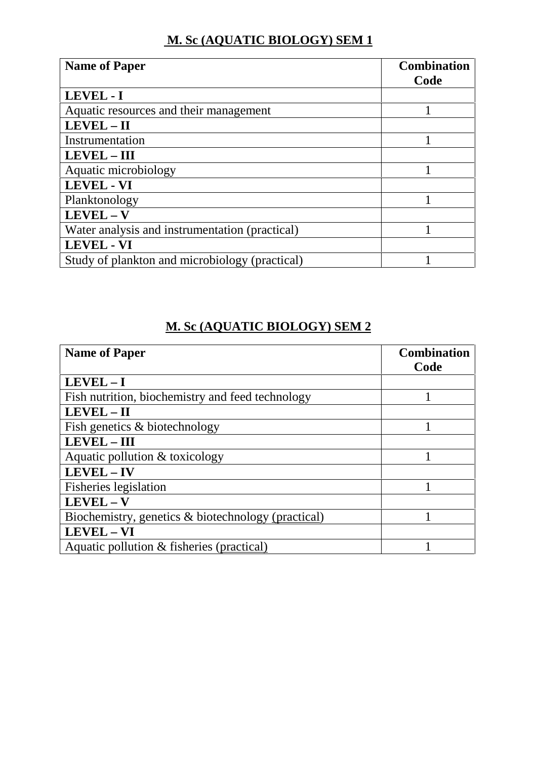## **M. Sc (AQUATIC BIOLOGY) SEM 1**

| <b>Name of Paper</b>                           | <b>Combination</b><br>Code |
|------------------------------------------------|----------------------------|
| LEVEL - I                                      |                            |
| Aquatic resources and their management         |                            |
| LEVEL-II                                       |                            |
| Instrumentation                                |                            |
| <b>LEVEL - III</b>                             |                            |
| Aquatic microbiology                           |                            |
| <b>LEVEL - VI</b>                              |                            |
| Planktonology                                  |                            |
| $LEVEL - V$                                    |                            |
| Water analysis and instrumentation (practical) |                            |
| <b>LEVEL - VI</b>                              |                            |
| Study of plankton and microbiology (practical) |                            |

## **M. Sc (AQUATIC BIOLOGY) SEM 2**

| <b>Name of Paper</b>                               | <b>Combination</b><br>Code |
|----------------------------------------------------|----------------------------|
| $LEVEL - I$                                        |                            |
| Fish nutrition, biochemistry and feed technology   |                            |
| $LEVEL - II$                                       |                            |
| Fish genetics & biotechnology                      |                            |
| LEVEL - III                                        |                            |
| Aquatic pollution & toxicology                     |                            |
| <b>LEVEL-IV</b>                                    |                            |
| Fisheries legislation                              |                            |
| LEVEL - V                                          |                            |
| Biochemistry, genetics & biotechnology (practical) |                            |
| <b>LEVEL - VI</b>                                  |                            |
| Aquatic pollution & fisheries (practical)          |                            |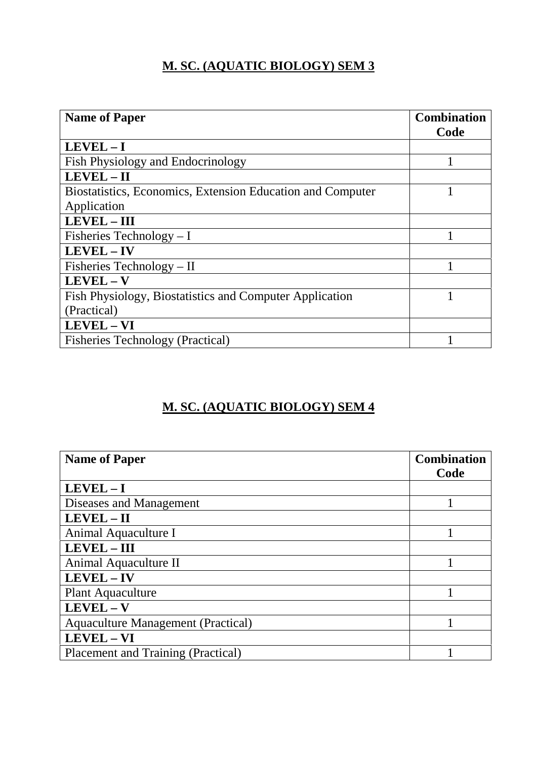## **M. SC. (AQUATIC BIOLOGY) SEM 3**

| <b>Name of Paper</b>                                       | <b>Combination</b><br>Code |
|------------------------------------------------------------|----------------------------|
| $LEVEL - I$                                                |                            |
| <b>Fish Physiology and Endocrinology</b>                   |                            |
| LEVEL - II                                                 |                            |
| Biostatistics, Economics, Extension Education and Computer |                            |
| Application                                                |                            |
| <b>LEVEL - III</b>                                         |                            |
| Fisheries Technology $- I$                                 |                            |
| $LEVEL - IV$                                               |                            |
| Fisheries Technology $-$ II                                |                            |
| LEVEL - V                                                  |                            |
| Fish Physiology, Biostatistics and Computer Application    |                            |
| (Practical)                                                |                            |
| LEVEL - VI                                                 |                            |
| <b>Fisheries Technology (Practical)</b>                    |                            |

## **M. SC. (AQUATIC BIOLOGY) SEM 4**

| <b>Name of Paper</b>                      | <b>Combination</b> |
|-------------------------------------------|--------------------|
|                                           | Code               |
| $LEVEL - I$                               |                    |
| Diseases and Management                   |                    |
| LEVEL - II                                |                    |
| Animal Aquaculture I                      |                    |
| <b>LEVEL - III</b>                        |                    |
| Animal Aquaculture II                     |                    |
| $LEVEL - IV$                              |                    |
| <b>Plant Aquaculture</b>                  |                    |
| $LEVEL - V$                               |                    |
| <b>Aquaculture Management (Practical)</b> |                    |
| <b>LEVEL - VI</b>                         |                    |
| <b>Placement and Training (Practical)</b> |                    |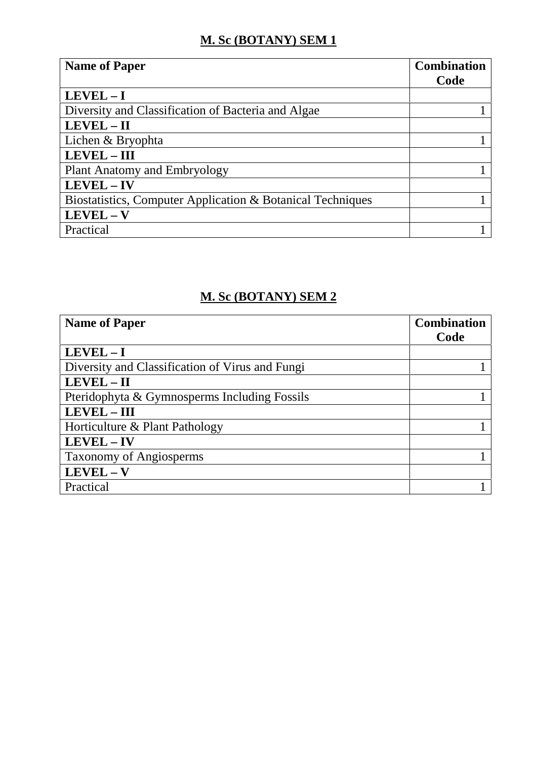#### **M. Sc (BOTANY) SEM 1**

| <b>Name of Paper</b>                                       | <b>Combination</b> |
|------------------------------------------------------------|--------------------|
|                                                            | Code               |
| $LEVEL - I$                                                |                    |
| Diversity and Classification of Bacteria and Algae         |                    |
| $LEVEL - II$                                               |                    |
| Lichen & Bryophta                                          |                    |
| <b>LEVEL-III</b>                                           |                    |
| <b>Plant Anatomy and Embryology</b>                        |                    |
| LEVEL-IV                                                   |                    |
| Biostatistics, Computer Application & Botanical Techniques |                    |
| $LEVEL - V$                                                |                    |
| Practical                                                  |                    |

# **M. Sc (BOTANY) SEM 2**

| <b>Name of Paper</b>                            | <b>Combination</b> |
|-------------------------------------------------|--------------------|
|                                                 | Code               |
| $LEVEL - I$                                     |                    |
| Diversity and Classification of Virus and Fungi |                    |
| LEVEL-II                                        |                    |
| Pteridophyta & Gymnosperms Including Fossils    |                    |
| <b>LEVEL - III</b>                              |                    |
| Horticulture & Plant Pathology                  |                    |
| LEVEL - IV                                      |                    |
| <b>Taxonomy of Angiosperms</b>                  |                    |
| $LEVEL - V$                                     |                    |
| Practical                                       |                    |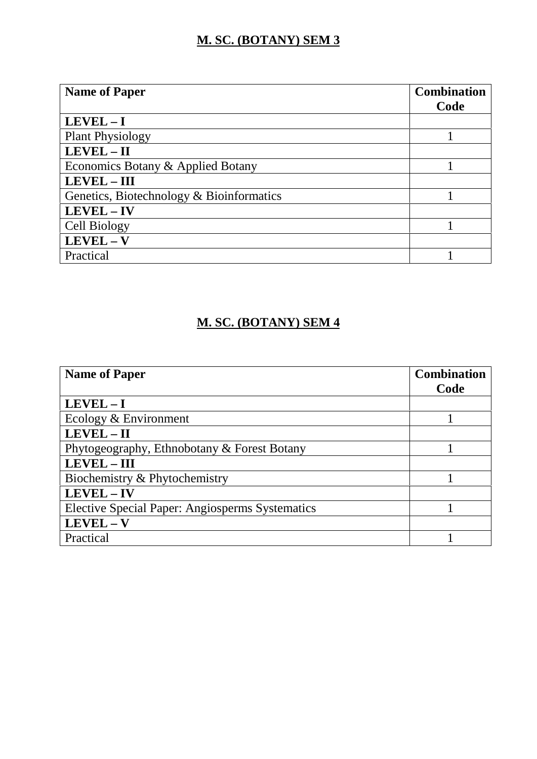## **M. SC. (BOTANY) SEM 3**

| <b>Name of Paper</b>                     | <b>Combination</b> |
|------------------------------------------|--------------------|
|                                          | Code               |
| $LEVEL - I$                              |                    |
| <b>Plant Physiology</b>                  |                    |
| LEVEL - II                               |                    |
| Economics Botany & Applied Botany        |                    |
| LEVEL - III                              |                    |
| Genetics, Biotechnology & Bioinformatics |                    |
| LEVEL - IV                               |                    |
| Cell Biology                             |                    |
| $LEVEL - V$                              |                    |
| Practical                                |                    |

## **M. SC. (BOTANY) SEM 4**

| <b>Name of Paper</b>                                   | <b>Combination</b> |
|--------------------------------------------------------|--------------------|
|                                                        | Code               |
| $LEVEL - I$                                            |                    |
| Ecology & Environment                                  |                    |
| $LEVEL - II$                                           |                    |
| Phytogeography, Ethnobotany & Forest Botany            |                    |
| <b>LEVEL-III</b>                                       |                    |
| Biochemistry & Phytochemistry                          |                    |
| LEVEL - IV                                             |                    |
| <b>Elective Special Paper: Angiosperms Systematics</b> |                    |
| $LEVEL - V$                                            |                    |
| Practical                                              |                    |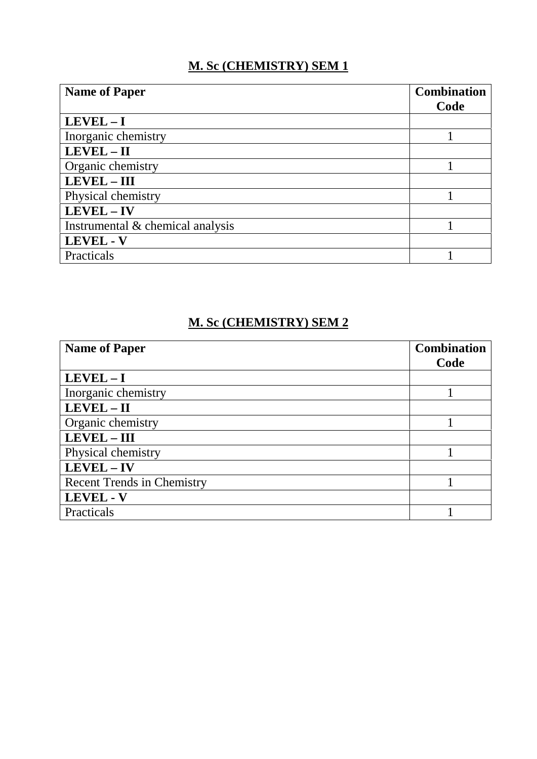### **M. Sc (CHEMISTRY) SEM 1**

| <b>Name of Paper</b>             | <b>Combination</b> |
|----------------------------------|--------------------|
|                                  | Code               |
| $LEVEL - I$                      |                    |
| Inorganic chemistry              |                    |
| $LEVEL - II$                     |                    |
| Organic chemistry                |                    |
| LEVEL - III                      |                    |
| Physical chemistry               |                    |
| LEVEL-IV                         |                    |
| Instrumental & chemical analysis |                    |
| <b>LEVEL - V</b>                 |                    |
| Practicals                       |                    |

# **M. Sc (CHEMISTRY) SEM 2**

| <b>Name of Paper</b>              | <b>Combination</b> |  |
|-----------------------------------|--------------------|--|
|                                   | Code               |  |
| $LEVEL - I$                       |                    |  |
| Inorganic chemistry               |                    |  |
| LEVEL - II                        |                    |  |
| Organic chemistry                 |                    |  |
| <b>LEVEL-III</b>                  |                    |  |
| Physical chemistry                |                    |  |
| LEVEL - IV                        |                    |  |
| <b>Recent Trends in Chemistry</b> |                    |  |
| <b>LEVEL - V</b>                  |                    |  |
| Practicals                        |                    |  |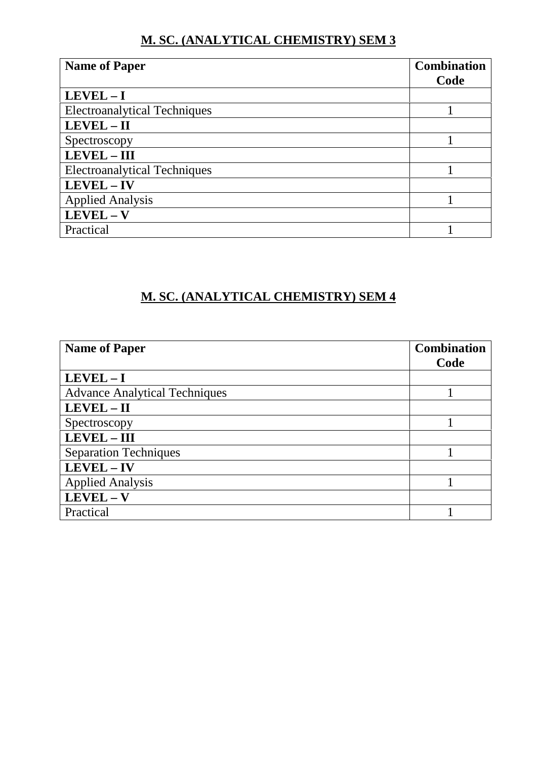#### **M. SC. (ANALYTICAL CHEMISTRY) SEM 3**

| <b>Name of Paper</b>                | <b>Combination</b> |
|-------------------------------------|--------------------|
|                                     | Code               |
| $LEVEL - I$                         |                    |
| <b>Electroanalytical Techniques</b> |                    |
| $LEVEL - II$                        |                    |
| Spectroscopy                        |                    |
| LEVEL-III                           |                    |
| <b>Electroanalytical Techniques</b> |                    |
| LEVEL - IV                          |                    |
| <b>Applied Analysis</b>             |                    |
| $LEVEL - V$                         |                    |
| Practical                           |                    |

## **M. SC. (ANALYTICAL CHEMISTRY) SEM 4**

| <b>Name of Paper</b>                 | <b>Combination</b> |
|--------------------------------------|--------------------|
|                                      | Code               |
| $LEVEL - I$                          |                    |
| <b>Advance Analytical Techniques</b> |                    |
| LEVEL-II                             |                    |
| Spectroscopy                         |                    |
| <b>LEVEL-III</b>                     |                    |
| <b>Separation Techniques</b>         |                    |
| LEVEL-IV                             |                    |
| <b>Applied Analysis</b>              |                    |
| $LEVEL - V$                          |                    |
| Practical                            |                    |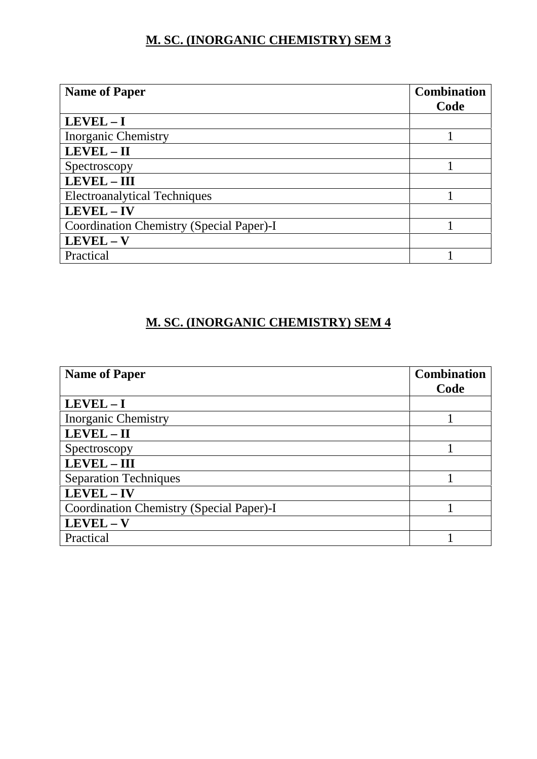## **M. SC. (INORGANIC CHEMISTRY) SEM 3**

| <b>Name of Paper</b>                     | <b>Combination</b> |
|------------------------------------------|--------------------|
|                                          | Code               |
| $LEVEL - I$                              |                    |
| <b>Inorganic Chemistry</b>               |                    |
| LEVEL-II                                 |                    |
| Spectroscopy                             |                    |
| <b>LEVEL-III</b>                         |                    |
| <b>Electroanalytical Techniques</b>      |                    |
| LEVEL-IV                                 |                    |
| Coordination Chemistry (Special Paper)-I |                    |
| $LEVEL - V$                              |                    |
| Practical                                |                    |

## **M. SC. (INORGANIC CHEMISTRY) SEM 4**

| <b>Name of Paper</b>                     | <b>Combination</b> |
|------------------------------------------|--------------------|
|                                          | Code               |
| $LEVEL - I$                              |                    |
| <b>Inorganic Chemistry</b>               |                    |
| LEVEL-II                                 |                    |
| Spectroscopy                             |                    |
| LEVEL - III                              |                    |
| <b>Separation Techniques</b>             |                    |
| LEVEL - IV                               |                    |
| Coordination Chemistry (Special Paper)-I |                    |
| $LEVEL - V$                              |                    |
| Practical                                |                    |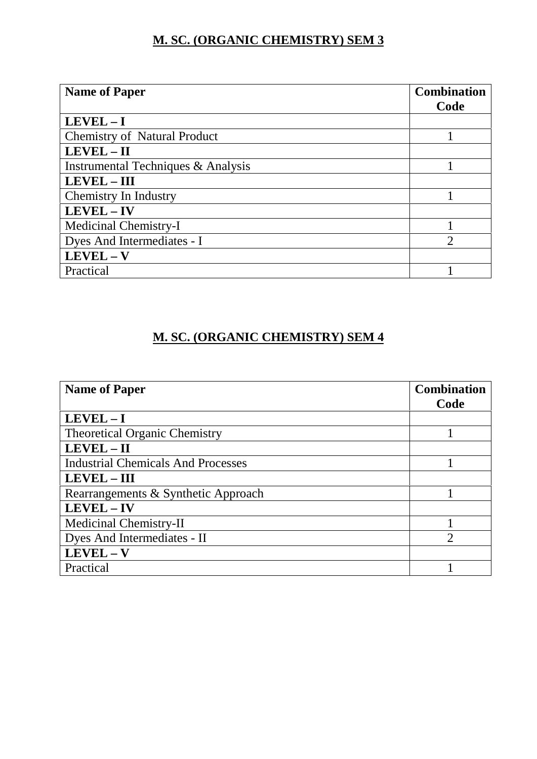## **M. SC. (ORGANIC CHEMISTRY) SEM 3**

| <b>Name of Paper</b>                | <b>Combination</b>          |  |
|-------------------------------------|-----------------------------|--|
|                                     | Code                        |  |
| $LEVEL - I$                         |                             |  |
| <b>Chemistry of Natural Product</b> |                             |  |
| LEVEL - II                          |                             |  |
| Instrumental Techniques & Analysis  |                             |  |
| <b>LEVEL-III</b>                    |                             |  |
| Chemistry In Industry               |                             |  |
| LEVEL - IV                          |                             |  |
| Medicinal Chemistry-I               |                             |  |
| Dyes And Intermediates - I          | $\mathcal{D}_{\mathcal{L}}$ |  |
| $LEVEL - V$                         |                             |  |
| Practical                           |                             |  |

## **M. SC. (ORGANIC CHEMISTRY) SEM 4**

| <b>Name of Paper</b>                      | <b>Combination</b><br>Code |
|-------------------------------------------|----------------------------|
| $LEVEL - I$                               |                            |
| <b>Theoretical Organic Chemistry</b>      |                            |
| $LEVEL - II$                              |                            |
| <b>Industrial Chemicals And Processes</b> |                            |
| <b>LEVEL - III</b>                        |                            |
| Rearrangements & Synthetic Approach       |                            |
| LEVEL - IV                                |                            |
| Medicinal Chemistry-II                    |                            |
| Dyes And Intermediates - II               | $\overline{2}$             |
| $LEVEL - V$                               |                            |
| Practical                                 |                            |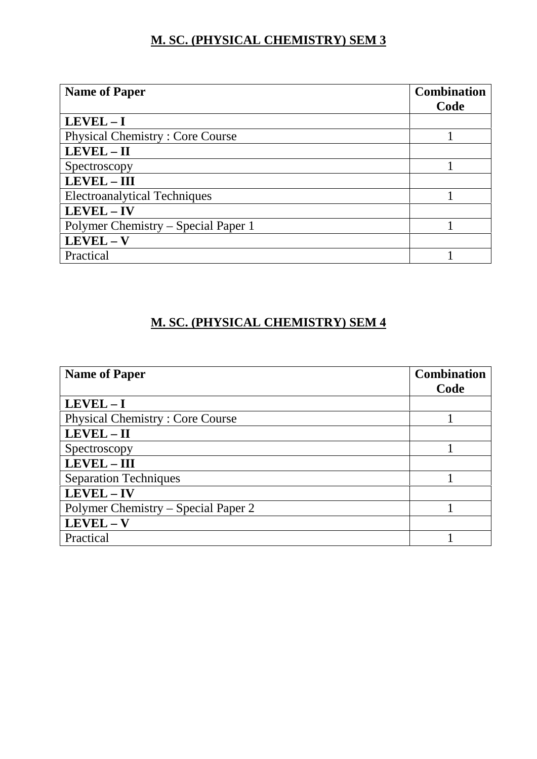## **M. SC. (PHYSICAL CHEMISTRY) SEM 3**

| <b>Name of Paper</b>                   | <b>Combination</b> |
|----------------------------------------|--------------------|
|                                        | Code               |
| $LEVEL - I$                            |                    |
| <b>Physical Chemistry: Core Course</b> |                    |
| LEVEL-II                               |                    |
| Spectroscopy                           |                    |
| LEVEL - III                            |                    |
| <b>Electroanalytical Techniques</b>    |                    |
| LEVEL - IV                             |                    |
| Polymer Chemistry – Special Paper 1    |                    |
| $LEVEL - V$                            |                    |
| Practical                              |                    |

## **M. SC. (PHYSICAL CHEMISTRY) SEM 4**

| <b>Name of Paper</b>                   | <b>Combination</b> |
|----------------------------------------|--------------------|
|                                        | Code               |
| $LEVEL - I$                            |                    |
| <b>Physical Chemistry: Core Course</b> |                    |
| $LEVEL - II$                           |                    |
| Spectroscopy                           |                    |
| LEVEL - III                            |                    |
| <b>Separation Techniques</b>           |                    |
| LEVEL - IV                             |                    |
| Polymer Chemistry – Special Paper 2    |                    |
| $LEVEL - V$                            |                    |
| Practical                              |                    |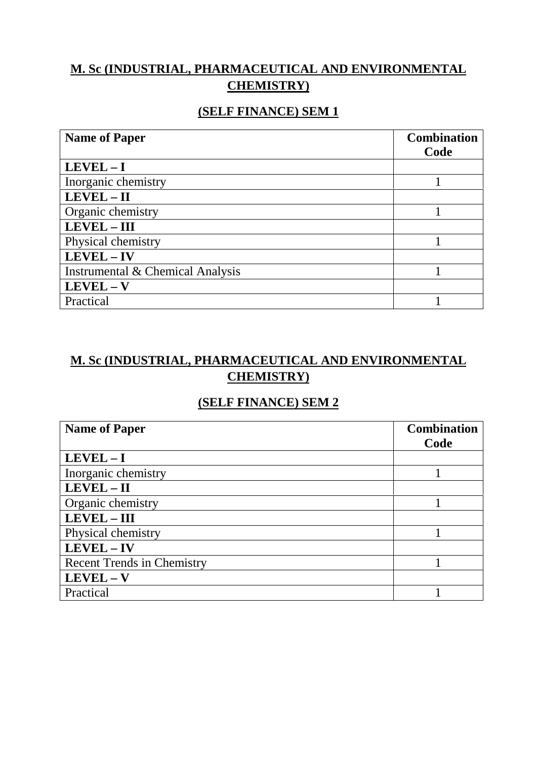## **M. Sc (INDUSTRIAL, PHARMACEUTICAL AND ENVIRONMENTAL CHEMISTRY)**

#### **(SELF FINANCE) SEM 1**

| <b>Name of Paper</b>             | <b>Combination</b><br>Code |
|----------------------------------|----------------------------|
| $LEVEL - I$                      |                            |
| Inorganic chemistry              |                            |
| LEVEL-II                         |                            |
| Organic chemistry                |                            |
| LEVEL - III                      |                            |
| Physical chemistry               |                            |
| LEVEL-IV                         |                            |
| Instrumental & Chemical Analysis |                            |
| $LEVEL - V$                      |                            |
| Practical                        |                            |

## **M. Sc (INDUSTRIAL, PHARMACEUTICAL AND ENVIRONMENTAL CHEMISTRY)**

#### **(SELF FINANCE) SEM 2**

| <b>Name of Paper</b>              | <b>Combination</b><br>Code |
|-----------------------------------|----------------------------|
| $LEVEL - I$                       |                            |
| Inorganic chemistry               |                            |
| $LEVEL - II$                      |                            |
| Organic chemistry                 |                            |
| <b>LEVEL-III</b>                  |                            |
| Physical chemistry                |                            |
| LEVEL - IV                        |                            |
| <b>Recent Trends in Chemistry</b> |                            |
| $LEVEL - V$                       |                            |
| Practical                         |                            |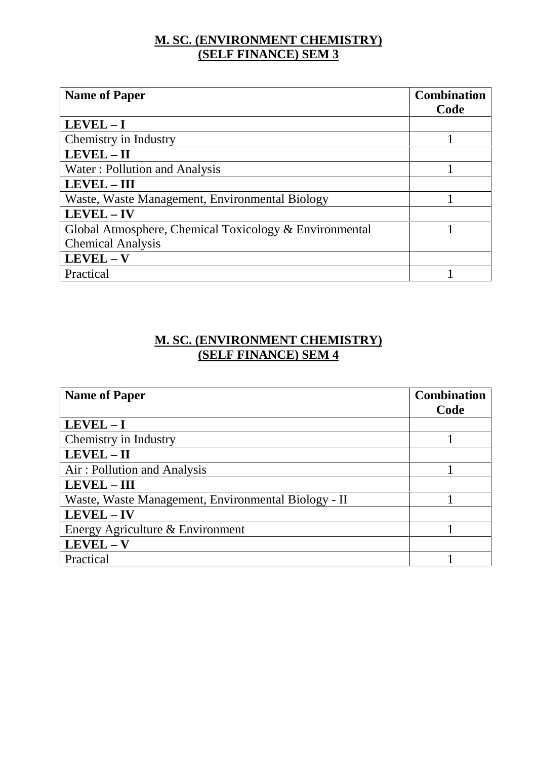### **M. SC. (ENVIRONMENT CHEMISTRY) (SELF FINANCE) SEM 3**

| <b>Name of Paper</b>                                   | <b>Combination</b><br>Code |
|--------------------------------------------------------|----------------------------|
| $LEVEL - I$                                            |                            |
| Chemistry in Industry                                  |                            |
| LEVEL-II                                               |                            |
| Water: Pollution and Analysis                          |                            |
| <b>LEVEL - III</b>                                     |                            |
| Waste, Waste Management, Environmental Biology         |                            |
| <b>LEVEL-IV</b>                                        |                            |
| Global Atmosphere, Chemical Toxicology & Environmental |                            |
| <b>Chemical Analysis</b>                               |                            |
| $LEVEL - V$                                            |                            |
| Practical                                              |                            |

#### **M. SC. (ENVIRONMENT CHEMISTRY) (SELF FINANCE) SEM 4**

| <b>Name of Paper</b>                                | <b>Combination</b> |
|-----------------------------------------------------|--------------------|
|                                                     | Code               |
| $LEVEL - I$                                         |                    |
| Chemistry in Industry                               |                    |
| $LEVEL - II$                                        |                    |
| Air: Pollution and Analysis                         |                    |
| <b>LEVEL-III</b>                                    |                    |
| Waste, Waste Management, Environmental Biology - II |                    |
| LEVEL-IV                                            |                    |
| Energy Agriculture & Environment                    |                    |
| $LEVEL - V$                                         |                    |
| Practical                                           |                    |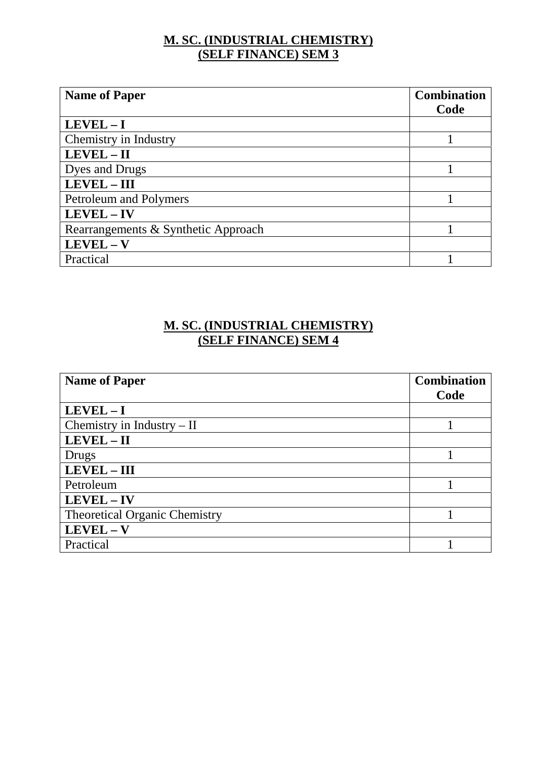### **M. SC. (INDUSTRIAL CHEMISTRY) (SELF FINANCE) SEM 3**

| <b>Name of Paper</b>                | <b>Combination</b> |
|-------------------------------------|--------------------|
|                                     | Code               |
| $LEVEL - I$                         |                    |
| Chemistry in Industry               |                    |
| LEVEL - II                          |                    |
| Dyes and Drugs                      |                    |
| $LEVEL - III$                       |                    |
| Petroleum and Polymers              |                    |
| LEVEL - IV                          |                    |
| Rearrangements & Synthetic Approach |                    |
| $LEVEL - V$                         |                    |
| Practical                           |                    |

### **M. SC. (INDUSTRIAL CHEMISTRY) (SELF FINANCE) SEM 4**

| <b>Name of Paper</b>                 | <b>Combination</b> |
|--------------------------------------|--------------------|
|                                      | Code               |
| $LEVEL - I$                          |                    |
| Chemistry in Industry $-$ II         |                    |
| $LEVEL - II$                         |                    |
| Drugs                                |                    |
| LEVEL - III                          |                    |
| Petroleum                            |                    |
| LEVEL - IV                           |                    |
| <b>Theoretical Organic Chemistry</b> |                    |
| $LEVEL - V$                          |                    |
| Practical                            |                    |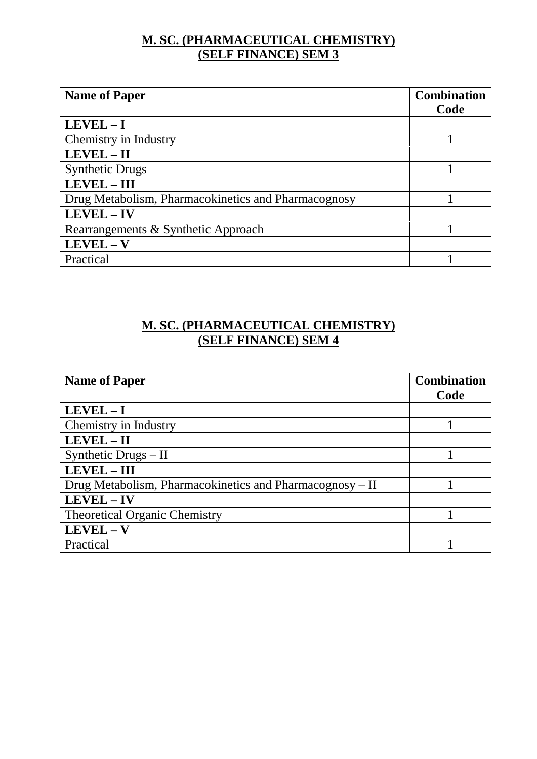### **M. SC. (PHARMACEUTICAL CHEMISTRY) (SELF FINANCE) SEM 3**

| <b>Name of Paper</b>                                | <b>Combination</b> |
|-----------------------------------------------------|--------------------|
|                                                     | Code               |
| $LEVEL - I$                                         |                    |
| Chemistry in Industry                               |                    |
| $LEVEL - II$                                        |                    |
| <b>Synthetic Drugs</b>                              |                    |
| LEVEL - III                                         |                    |
| Drug Metabolism, Pharmacokinetics and Pharmacognosy |                    |
| LEVEL - IV                                          |                    |
| Rearrangements & Synthetic Approach                 |                    |
| $LEVEL - V$                                         |                    |
| Practical                                           |                    |

### **M. SC. (PHARMACEUTICAL CHEMISTRY) (SELF FINANCE) SEM 4**

| <b>Name of Paper</b>                                     | <b>Combination</b> |
|----------------------------------------------------------|--------------------|
|                                                          | Code               |
| $LEVEL - I$                                              |                    |
| Chemistry in Industry                                    |                    |
| $LEVEL - II$                                             |                    |
| Synthetic Drugs $-$ II                                   |                    |
| LEVEL - III                                              |                    |
| Drug Metabolism, Pharmacokinetics and Pharmacognosy – II |                    |
| LEVEL - IV                                               |                    |
| <b>Theoretical Organic Chemistry</b>                     |                    |
| LEVEL - V                                                |                    |
| Practical                                                |                    |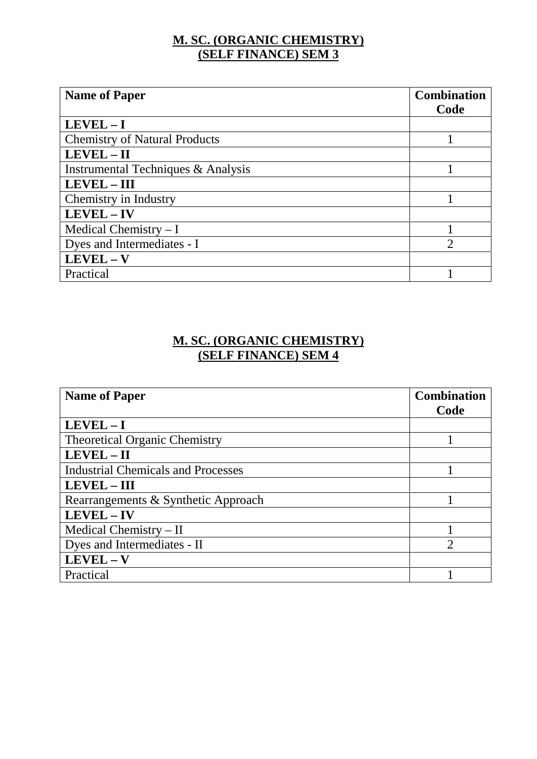### **M. SC. (ORGANIC CHEMISTRY) (SELF FINANCE) SEM 3**

| <b>Name of Paper</b>                 | <b>Combination</b>          |
|--------------------------------------|-----------------------------|
|                                      | Code                        |
| $LEVEL - I$                          |                             |
| <b>Chemistry of Natural Products</b> |                             |
| $LEVEL - II$                         |                             |
| Instrumental Techniques & Analysis   |                             |
| <b>LEVEL - III</b>                   |                             |
| Chemistry in Industry                |                             |
| LEVEL - IV                           |                             |
| Medical Chemistry $-I$               |                             |
| Dyes and Intermediates - I           | $\mathcal{D}_{\mathcal{L}}$ |
| $LEVEL - V$                          |                             |
| Practical                            |                             |

### **M. SC. (ORGANIC CHEMISTRY) (SELF FINANCE) SEM 4**

| <b>Name of Paper</b>                      | <b>Combination</b><br>Code |
|-------------------------------------------|----------------------------|
| $LEVEL - I$                               |                            |
| <b>Theoretical Organic Chemistry</b>      |                            |
| LEVEL-II                                  |                            |
| <b>Industrial Chemicals and Processes</b> |                            |
| <b>LEVEL - III</b>                        |                            |
| Rearrangements & Synthetic Approach       |                            |
| LEVEL-IV                                  |                            |
| Medical Chemistry $-II$                   |                            |
| Dyes and Intermediates - II               | っ                          |
| $LEVEL - V$                               |                            |
| Practical                                 |                            |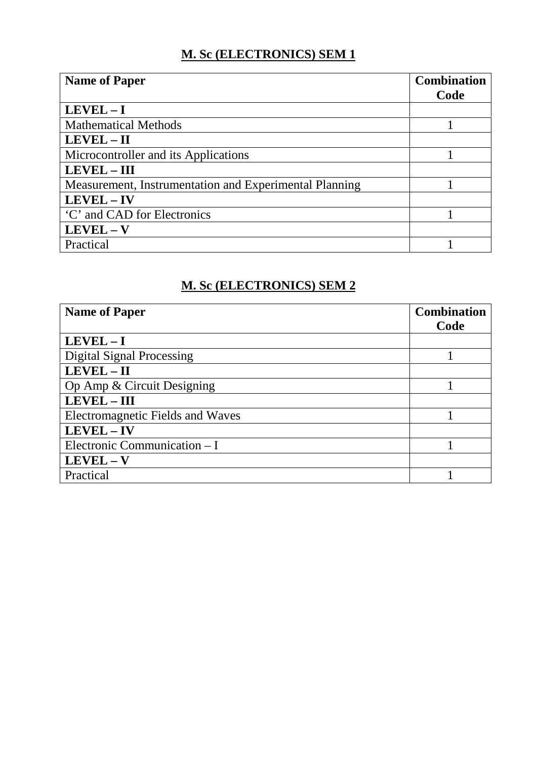## **M. Sc (ELECTRONICS) SEM 1**

| <b>Name of Paper</b>                                   | <b>Combination</b> |
|--------------------------------------------------------|--------------------|
|                                                        | Code               |
| $LEVEL - I$                                            |                    |
| <b>Mathematical Methods</b>                            |                    |
| LEVEL - II                                             |                    |
| Microcontroller and its Applications                   |                    |
| <b>LEVEL-III</b>                                       |                    |
| Measurement, Instrumentation and Experimental Planning |                    |
| LEVEL - IV                                             |                    |
| 'C' and CAD for Electronics                            |                    |
| $LEVEL - V$                                            |                    |
| Practical                                              |                    |

## **M. Sc (ELECTRONICS) SEM 2**

| <b>Name of Paper</b>                    | <b>Combination</b> |
|-----------------------------------------|--------------------|
|                                         | Code               |
| $LEVEL - I$                             |                    |
| <b>Digital Signal Processing</b>        |                    |
| LEVEL-II                                |                    |
| Op Amp & Circuit Designing              |                    |
| <b>LEVEL-III</b>                        |                    |
| <b>Electromagnetic Fields and Waves</b> |                    |
| LEVEL - IV                              |                    |
| Electronic Communication - I            |                    |
| $LEVEL - V$                             |                    |
| Practical                               |                    |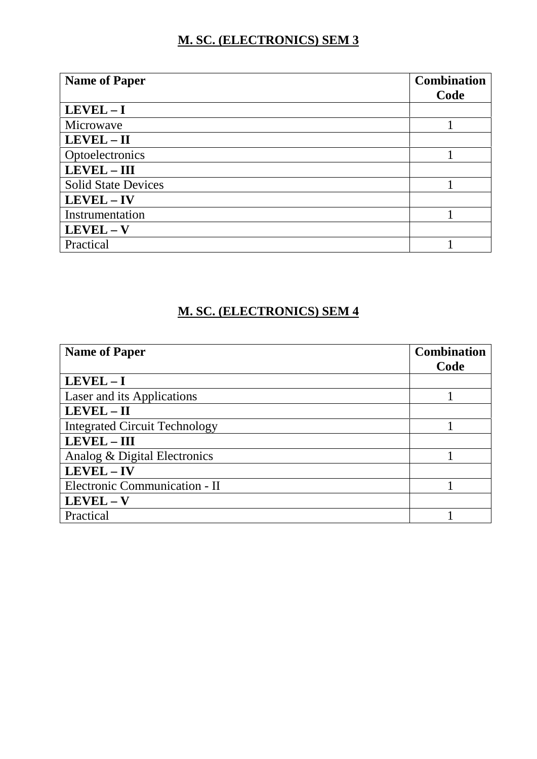## **M. SC. (ELECTRONICS) SEM 3**

| <b>Name of Paper</b>       | <b>Combination</b> |
|----------------------------|--------------------|
|                            | Code               |
| $LEVEL - I$                |                    |
| Microwave                  |                    |
| $LEVEL - II$               |                    |
| Optoelectronics            |                    |
| LEVEL - III                |                    |
| <b>Solid State Devices</b> |                    |
| LEVEL - IV                 |                    |
| Instrumentation            |                    |
| $LEVEL - V$                |                    |
| Practical                  |                    |

### **M. SC. (ELECTRONICS) SEM 4**

| <b>Name of Paper</b>                 | <b>Combination</b> |
|--------------------------------------|--------------------|
|                                      | Code               |
| $LEVEL - I$                          |                    |
| Laser and its Applications           |                    |
| LEVEL - II                           |                    |
| <b>Integrated Circuit Technology</b> |                    |
| <b>LEVEL-III</b>                     |                    |
| Analog & Digital Electronics         |                    |
| LEVEL - IV                           |                    |
| Electronic Communication - II        |                    |
| $LEVEL - V$                          |                    |
| Practical                            |                    |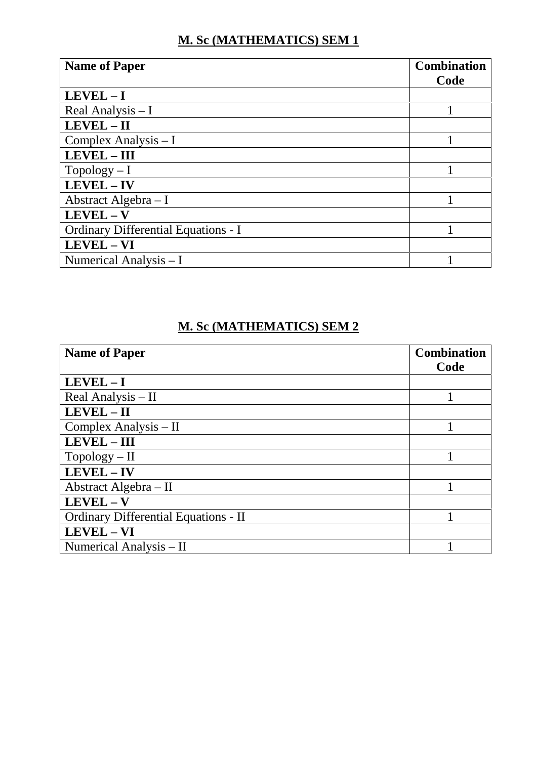# **M. Sc (MATHEMATICS) SEM 1**

| <b>Name of Paper</b>                | <b>Combination</b> |
|-------------------------------------|--------------------|
|                                     | Code               |
| $LEVEL - I$                         |                    |
| Real Analysis - I                   |                    |
| $LEVEL - II$                        |                    |
| Complex Analysis $-I$               |                    |
| <b>LEVEL-III</b>                    |                    |
| $Topology-I$                        |                    |
| $LEVEL - IV$                        |                    |
| Abstract Algebra $-I$               |                    |
| $LEVEL - V$                         |                    |
| Ordinary Differential Equations - I |                    |
| LEVEL - VI                          |                    |
| Numerical Analysis $-I$             |                    |

## **M. Sc (MATHEMATICS) SEM 2**

| <b>Name of Paper</b>                 | <b>Combination</b> |  |
|--------------------------------------|--------------------|--|
|                                      | Code               |  |
| LEVEL-I                              |                    |  |
| Real Analysis - II                   |                    |  |
| $LEVEL - II$                         |                    |  |
| Complex Analysis - II                |                    |  |
| <b>LEVEL - III</b>                   |                    |  |
| $Topology - II$                      |                    |  |
| LEVEL-IV                             |                    |  |
| Abstract Algebra - II                |                    |  |
| LEVEL - V                            |                    |  |
| Ordinary Differential Equations - II |                    |  |
| LEVEL - VI                           |                    |  |
| Numerical Analysis - II              |                    |  |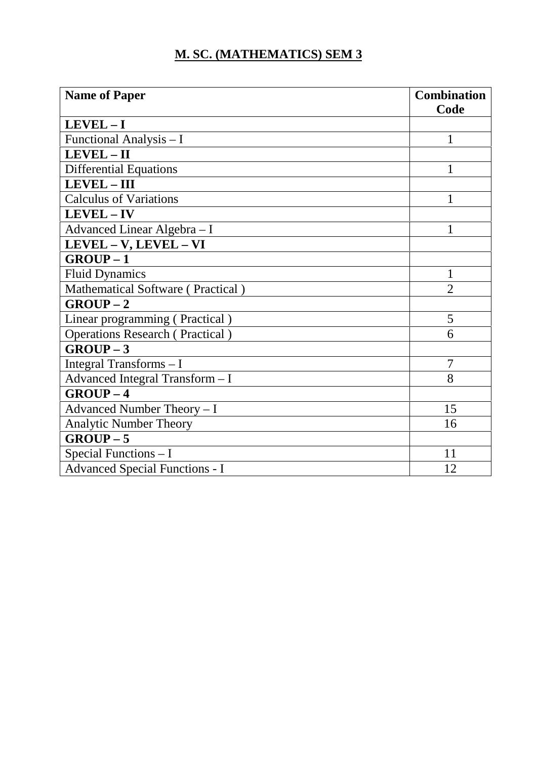## **M. SC. (MATHEMATICS) SEM 3**

| <b>Name of Paper</b>                   | <b>Combination</b> |
|----------------------------------------|--------------------|
|                                        | Code               |
| $LEVEL - I$                            |                    |
| Functional Analysis - I                |                    |
| LEVEL-II                               |                    |
| <b>Differential Equations</b>          | 1                  |
| LEVEL - III                            |                    |
| <b>Calculus of Variations</b>          |                    |
| LEVEL-IV                               |                    |
| Advanced Linear Algebra - I            | 1                  |
| LEVEL - V, LEVEL - VI                  |                    |
| $GROUP-1$                              |                    |
| <b>Fluid Dynamics</b>                  | 1                  |
| Mathematical Software (Practical)      | $\overline{2}$     |
| $GROUP-2$                              |                    |
| Linear programming (Practical)         | 5                  |
| <b>Operations Research (Practical)</b> | 6                  |
| $GROUP-3$                              |                    |
| Integral Transforms - I                | 7                  |
| Advanced Integral Transform - I        | 8                  |
| $GROUP-4$                              |                    |
| Advanced Number Theory - I             | 15                 |
| <b>Analytic Number Theory</b>          | 16                 |
| $GROUP-5$                              |                    |
| Special Functions - I                  | 11                 |
| <b>Advanced Special Functions - I</b>  | 12                 |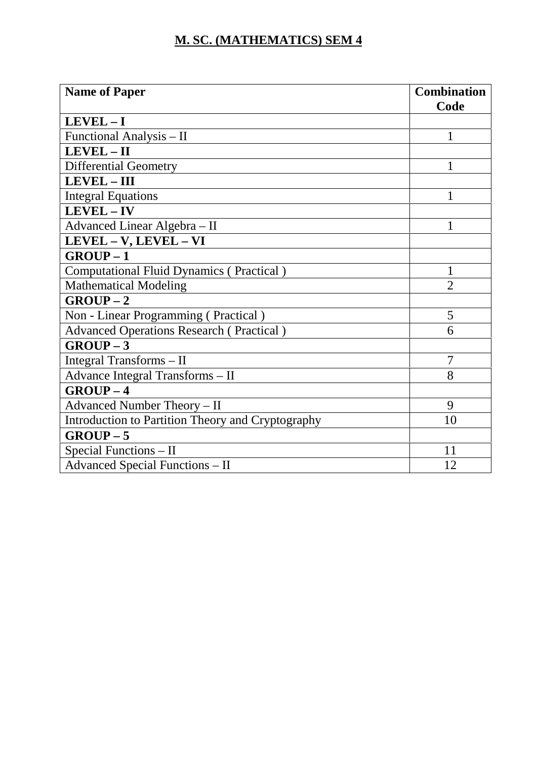## **M. SC. (MATHEMATICS) SEM 4**

| <b>Name of Paper</b>                              | <b>Combination</b><br>Code  |
|---------------------------------------------------|-----------------------------|
| $LEVEL - I$                                       |                             |
| Functional Analysis – II                          | 1                           |
| LEVEL-II                                          |                             |
| <b>Differential Geometry</b>                      |                             |
| <b>LEVEL-III</b>                                  |                             |
| <b>Integral Equations</b>                         | 1                           |
| LEVEL-IV                                          |                             |
| Advanced Linear Algebra - II                      |                             |
| LEVEL - V, LEVEL - VI                             |                             |
| $GROUP-1$                                         |                             |
| <b>Computational Fluid Dynamics (Practical)</b>   | $\mathbf{1}$                |
| <b>Mathematical Modeling</b>                      | $\mathcal{D}_{\mathcal{L}}$ |
| $GROUP-2$                                         |                             |
| Non - Linear Programming (Practical)              | 5                           |
| <b>Advanced Operations Research (Practical)</b>   | 6                           |
| $GROUP-3$                                         |                             |
| Integral Transforms - II                          | 7                           |
| Advance Integral Transforms - II                  | 8                           |
| $GROUP-4$                                         |                             |
| Advanced Number Theory - II                       | 9                           |
| Introduction to Partition Theory and Cryptography | 10                          |
| $GROUP-5$                                         |                             |
| Special Functions - II                            | 11                          |
| <b>Advanced Special Functions - II</b>            | 12                          |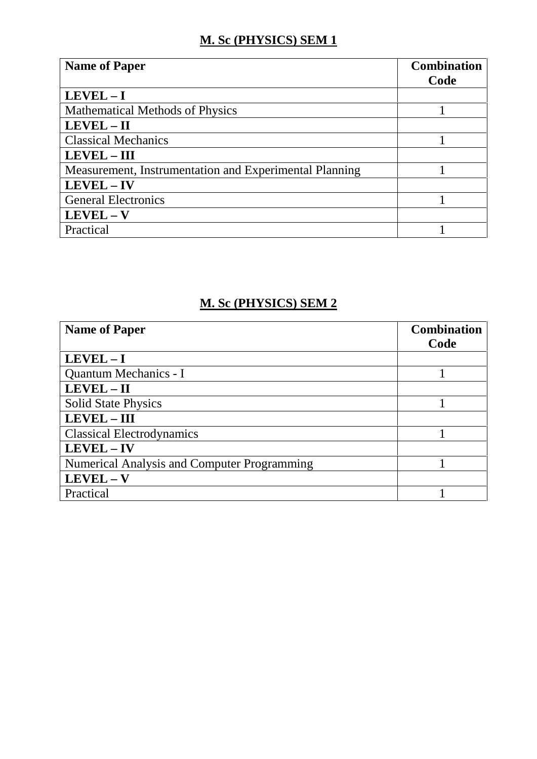## **M. Sc (PHYSICS) SEM 1**

| <b>Name of Paper</b>                                   | <b>Combination</b> |
|--------------------------------------------------------|--------------------|
|                                                        | Code               |
| $LEVEL - I$                                            |                    |
| <b>Mathematical Methods of Physics</b>                 |                    |
| LEVEL - II                                             |                    |
| <b>Classical Mechanics</b>                             |                    |
| <b>LEVEL - III</b>                                     |                    |
| Measurement, Instrumentation and Experimental Planning |                    |
| LEVEL - IV                                             |                    |
| <b>General Electronics</b>                             |                    |
| $LEVEL - V$                                            |                    |
| Practical                                              |                    |

## **M. Sc (PHYSICS) SEM 2**

| <b>Name of Paper</b>                               | <b>Combination</b> |
|----------------------------------------------------|--------------------|
|                                                    | Code               |
| $LEVEL - I$                                        |                    |
| Quantum Mechanics - I                              |                    |
| LEVEL - II                                         |                    |
| <b>Solid State Physics</b>                         |                    |
| <b>LEVEL-III</b>                                   |                    |
| <b>Classical Electrodynamics</b>                   |                    |
| LEVEL - IV                                         |                    |
| <b>Numerical Analysis and Computer Programming</b> |                    |
| LEVEL-V                                            |                    |
| Practical                                          |                    |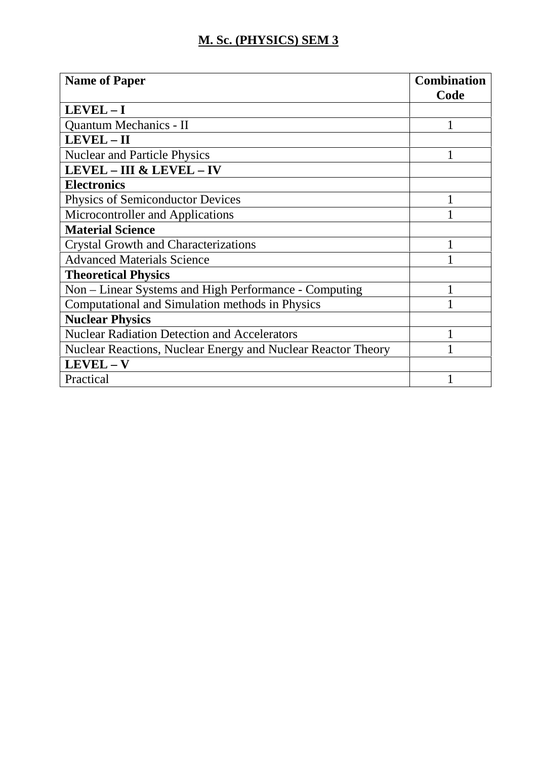## **M. Sc. (PHYSICS) SEM 3**

| <b>Name of Paper</b>                                         | <b>Combination</b> |
|--------------------------------------------------------------|--------------------|
|                                                              | Code               |
| $LEVEL - I$                                                  |                    |
| Quantum Mechanics - II                                       |                    |
| LEVEL - II                                                   |                    |
| <b>Nuclear and Particle Physics</b>                          |                    |
| <b>LEVEL - III &amp; LEVEL - IV</b>                          |                    |
| <b>Electronics</b>                                           |                    |
| <b>Physics of Semiconductor Devices</b>                      |                    |
| Microcontroller and Applications                             |                    |
| <b>Material Science</b>                                      |                    |
| <b>Crystal Growth and Characterizations</b>                  |                    |
| <b>Advanced Materials Science</b>                            |                    |
| <b>Theoretical Physics</b>                                   |                    |
| Non – Linear Systems and High Performance - Computing        |                    |
| Computational and Simulation methods in Physics              |                    |
| <b>Nuclear Physics</b>                                       |                    |
| <b>Nuclear Radiation Detection and Accelerators</b>          |                    |
| Nuclear Reactions, Nuclear Energy and Nuclear Reactor Theory |                    |
| $LEVEL - V$                                                  |                    |
| Practical                                                    |                    |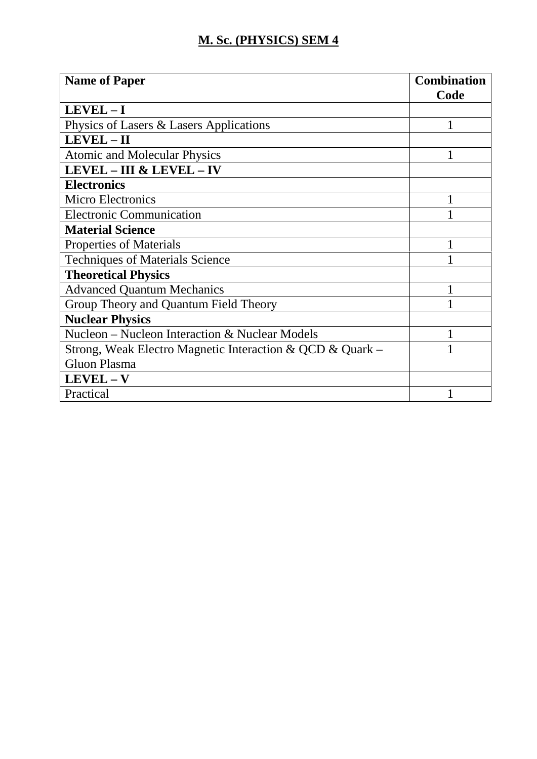## **M. Sc. (PHYSICS) SEM 4**

| <b>Name of Paper</b>                                      | <b>Combination</b> |
|-----------------------------------------------------------|--------------------|
|                                                           | Code               |
| $LEVEL - I$                                               |                    |
| Physics of Lasers & Lasers Applications                   |                    |
| LEVEL - II                                                |                    |
| <b>Atomic and Molecular Physics</b>                       |                    |
| <b>LEVEL - III &amp; LEVEL - IV</b>                       |                    |
| <b>Electronics</b>                                        |                    |
| <b>Micro Electronics</b>                                  |                    |
| <b>Electronic Communication</b>                           |                    |
| <b>Material Science</b>                                   |                    |
| <b>Properties of Materials</b>                            |                    |
| <b>Techniques of Materials Science</b>                    |                    |
| <b>Theoretical Physics</b>                                |                    |
| <b>Advanced Quantum Mechanics</b>                         |                    |
| Group Theory and Quantum Field Theory                     |                    |
| <b>Nuclear Physics</b>                                    |                    |
| Nucleon – Nucleon Interaction & Nuclear Models            |                    |
| Strong, Weak Electro Magnetic Interaction & QCD & Quark – |                    |
| <b>Gluon Plasma</b>                                       |                    |
| $LEVEL - V$                                               |                    |
| Practical                                                 |                    |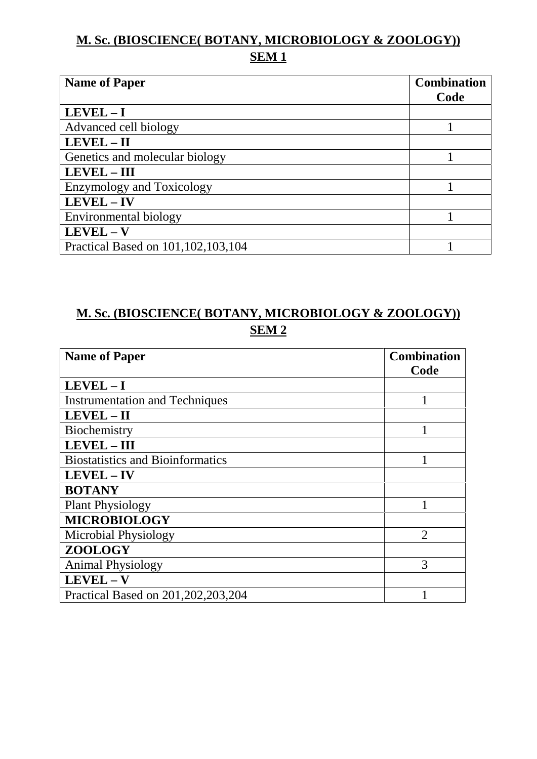## **M. Sc. (BIOSCIENCE( BOTANY, MICROBIOLOGY & ZOOLOGY)) SEM 1**

| <b>Name of Paper</b>               | <b>Combination</b> |
|------------------------------------|--------------------|
|                                    | Code               |
| $LEVEL - I$                        |                    |
| Advanced cell biology              |                    |
| LEVEL - II                         |                    |
| Genetics and molecular biology     |                    |
| <b>LEVEL-III</b>                   |                    |
| <b>Enzymology and Toxicology</b>   |                    |
| LEVEL - IV                         |                    |
| Environmental biology              |                    |
| $LEVEL - V$                        |                    |
| Practical Based on 101,102,103,104 |                    |

## **M. Sc. (BIOSCIENCE( BOTANY, MICROBIOLOGY & ZOOLOGY)) SEM 2**

| <b>Name of Paper</b>                    | <b>Combination</b> |
|-----------------------------------------|--------------------|
|                                         | Code               |
| $LEVEL - I$                             |                    |
| <b>Instrumentation and Techniques</b>   |                    |
| LEVEL - II                              |                    |
| Biochemistry                            |                    |
| LEVEL - III                             |                    |
| <b>Biostatistics and Bioinformatics</b> |                    |
| <b>LEVEL-IV</b>                         |                    |
| <b>BOTANY</b>                           |                    |
| <b>Plant Physiology</b>                 |                    |
| <b>MICROBIOLOGY</b>                     |                    |
| Microbial Physiology                    | $\overline{2}$     |
| ZOOLOGY                                 |                    |
| <b>Animal Physiology</b>                | 3                  |
| $LEVEL - V$                             |                    |
| Practical Based on 201, 202, 203, 204   |                    |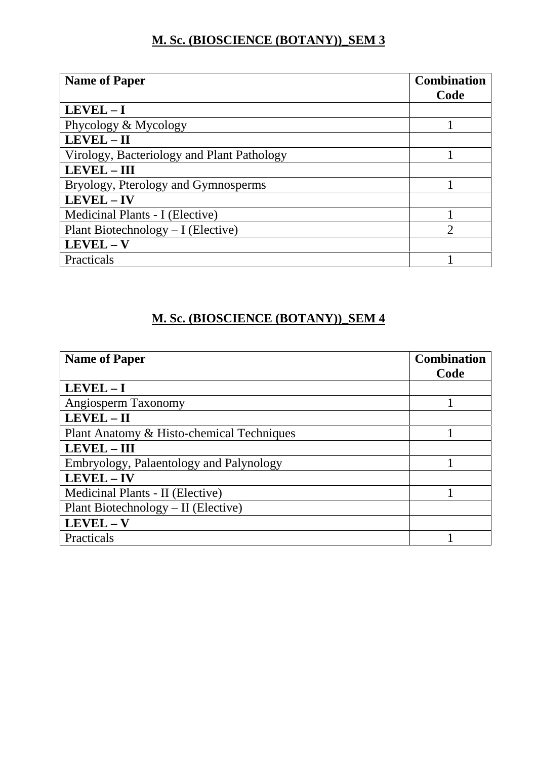#### **M. Sc. (BIOSCIENCE (BOTANY))\_SEM 3**

| <b>Name of Paper</b>                       | <b>Combination</b> |
|--------------------------------------------|--------------------|
|                                            | Code               |
| $LEVEL - I$                                |                    |
| Phycology & Mycology                       |                    |
| LEVEL-II                                   |                    |
| Virology, Bacteriology and Plant Pathology |                    |
| LEVEL - III                                |                    |
| Bryology, Pterology and Gymnosperms        |                    |
| LEVEL - IV                                 |                    |
| Medicinal Plants - I (Elective)            |                    |
| Plant Biotechnology $-I$ (Elective)        | っ                  |
| $LEVEL - V$                                |                    |
| Practicals                                 |                    |

### **M. Sc. (BIOSCIENCE (BOTANY))\_SEM 4**

| <b>Name of Paper</b>                      | <b>Combination</b> |
|-------------------------------------------|--------------------|
|                                           | Code               |
| $LEVEL - I$                               |                    |
| Angiosperm Taxonomy                       |                    |
| LEVEL-II                                  |                    |
| Plant Anatomy & Histo-chemical Techniques |                    |
| <b>LEVEL-III</b>                          |                    |
| Embryology, Palaentology and Palynology   |                    |
| LEVEL - IV                                |                    |
| Medicinal Plants - II (Elective)          |                    |
| Plant Biotechnology – II (Elective)       |                    |
| $LEVEL - V$                               |                    |
| Practicals                                |                    |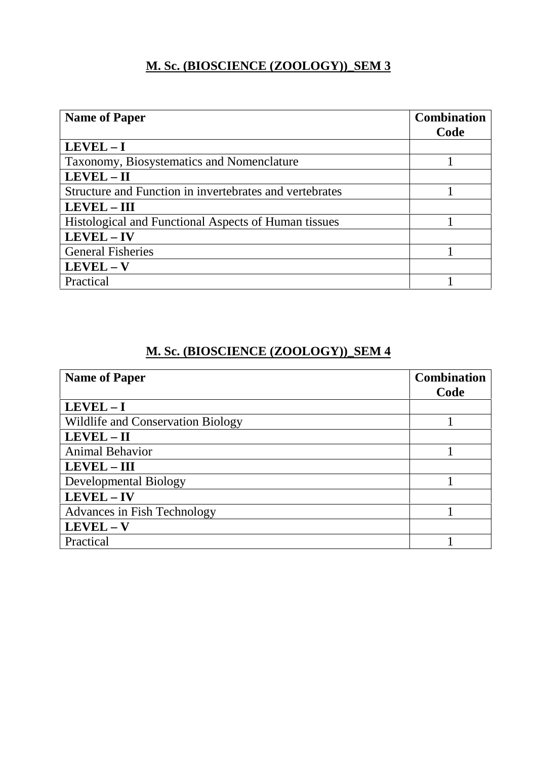### **M. Sc. (BIOSCIENCE (ZOOLOGY))\_SEM 3**

| <b>Name of Paper</b>                                    | <b>Combination</b> |
|---------------------------------------------------------|--------------------|
|                                                         | Code               |
| $LEVEL - I$                                             |                    |
| Taxonomy, Biosystematics and Nomenclature               |                    |
| LEVEL - II                                              |                    |
| Structure and Function in invertebrates and vertebrates |                    |
| <b>LEVEL - III</b>                                      |                    |
| Histological and Functional Aspects of Human tissues    |                    |
| LEVEL - IV                                              |                    |
| <b>General Fisheries</b>                                |                    |
| $LEVEL - V$                                             |                    |
| Practical                                               |                    |

### **M. Sc. (BIOSCIENCE (ZOOLOGY))\_SEM 4**

| <b>Name of Paper</b>                     | <b>Combination</b> |
|------------------------------------------|--------------------|
|                                          | Code               |
| $LEVEL - I$                              |                    |
| <b>Wildlife and Conservation Biology</b> |                    |
| LEVEL-II                                 |                    |
| <b>Animal Behavior</b>                   |                    |
| <b>LEVEL - III</b>                       |                    |
| Developmental Biology                    |                    |
| LEVEL - IV                               |                    |
| Advances in Fish Technology              |                    |
| $LEVEL - V$                              |                    |
| Practical                                |                    |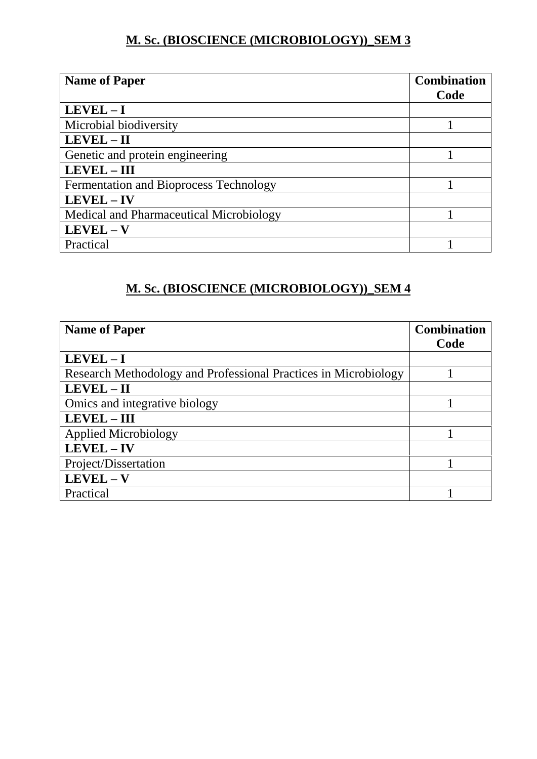### **M. Sc. (BIOSCIENCE (MICROBIOLOGY))\_SEM 3**

| <b>Name of Paper</b>                    | <b>Combination</b> |
|-----------------------------------------|--------------------|
|                                         | Code               |
| $LEVEL-I$                               |                    |
| Microbial biodiversity                  |                    |
| LEVEL - II                              |                    |
| Genetic and protein engineering         |                    |
| LEVEL - III                             |                    |
| Fermentation and Bioprocess Technology  |                    |
| LEVEL - IV                              |                    |
| Medical and Pharmaceutical Microbiology |                    |
| $LEVEL - V$                             |                    |
| Practical                               |                    |

## **M. Sc. (BIOSCIENCE (MICROBIOLOGY))\_SEM 4**

| <b>Name of Paper</b>                                            | <b>Combination</b> |
|-----------------------------------------------------------------|--------------------|
|                                                                 | Code               |
| $LEVEL - I$                                                     |                    |
| Research Methodology and Professional Practices in Microbiology |                    |
| LEVEL - II                                                      |                    |
| Omics and integrative biology                                   |                    |
| <b>LEVEL - III</b>                                              |                    |
| <b>Applied Microbiology</b>                                     |                    |
| LEVEL - IV                                                      |                    |
| Project/Dissertation                                            |                    |
| $LEVEL - V$                                                     |                    |
| Practical                                                       |                    |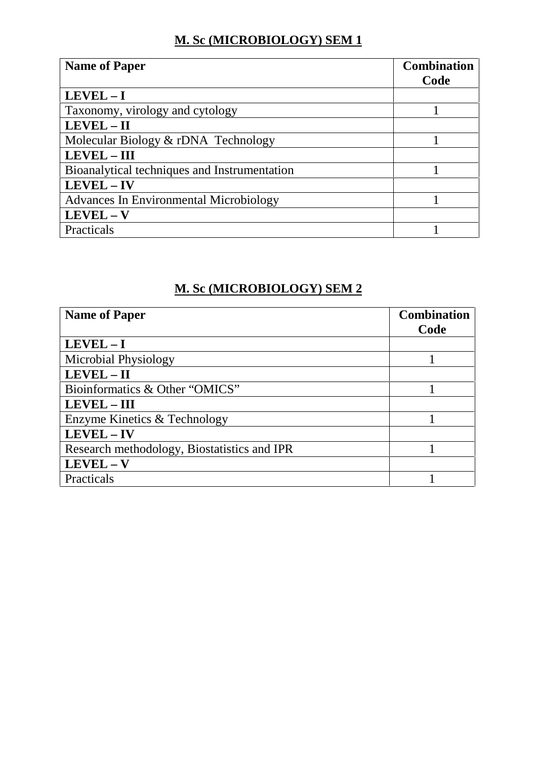## **M. Sc (MICROBIOLOGY) SEM 1**

| <b>Name of Paper</b>                          | <b>Combination</b><br>Code |
|-----------------------------------------------|----------------------------|
| $LEVEL - I$                                   |                            |
| Taxonomy, virology and cytology               |                            |
| LEVEL - II                                    |                            |
| Molecular Biology & rDNA Technology           |                            |
| <b>LEVEL-III</b>                              |                            |
| Bioanalytical techniques and Instrumentation  |                            |
| LEVEL - IV                                    |                            |
| <b>Advances In Environmental Microbiology</b> |                            |
| LEVEL - V                                     |                            |
| Practicals                                    |                            |

#### **M. Sc (MICROBIOLOGY) SEM 2**

| <b>Name of Paper</b>                        | <b>Combination</b> |
|---------------------------------------------|--------------------|
|                                             | Code               |
| $LEVEL - I$                                 |                    |
| Microbial Physiology                        |                    |
| LEVEL - II                                  |                    |
| Bioinformatics & Other "OMICS"              |                    |
| <b>LEVEL – III</b>                          |                    |
| Enzyme Kinetics & Technology                |                    |
| LEVEL-IV                                    |                    |
| Research methodology, Biostatistics and IPR |                    |
| LEVEL-V                                     |                    |
| Practicals                                  |                    |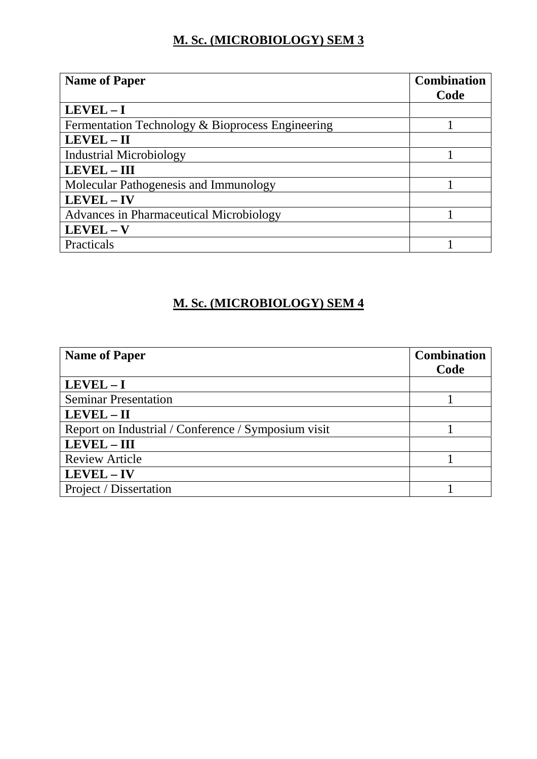### **M. Sc. (MICROBIOLOGY) SEM 3**

| <b>Name of Paper</b>                             | <b>Combination</b> |
|--------------------------------------------------|--------------------|
|                                                  | Code               |
| $LEVEL - I$                                      |                    |
| Fermentation Technology & Bioprocess Engineering |                    |
| LEVEL - II                                       |                    |
| <b>Industrial Microbiology</b>                   |                    |
| <b>LEVEL - III</b>                               |                    |
| Molecular Pathogenesis and Immunology            |                    |
| LEVEL - IV                                       |                    |
| Advances in Pharmaceutical Microbiology          |                    |
| $LEVEL - V$                                      |                    |
| <b>Practicals</b>                                |                    |

## **M. Sc. (MICROBIOLOGY) SEM 4**

| <b>Name of Paper</b>                                | <b>Combination</b><br>Code |
|-----------------------------------------------------|----------------------------|
| $LEVEL - I$                                         |                            |
| <b>Seminar Presentation</b>                         |                            |
| LEVEL - II                                          |                            |
| Report on Industrial / Conference / Symposium visit |                            |
| LEVEL - III                                         |                            |
| <b>Review Article</b>                               |                            |
| $LEVEL - IV$                                        |                            |
| Project / Dissertation                              |                            |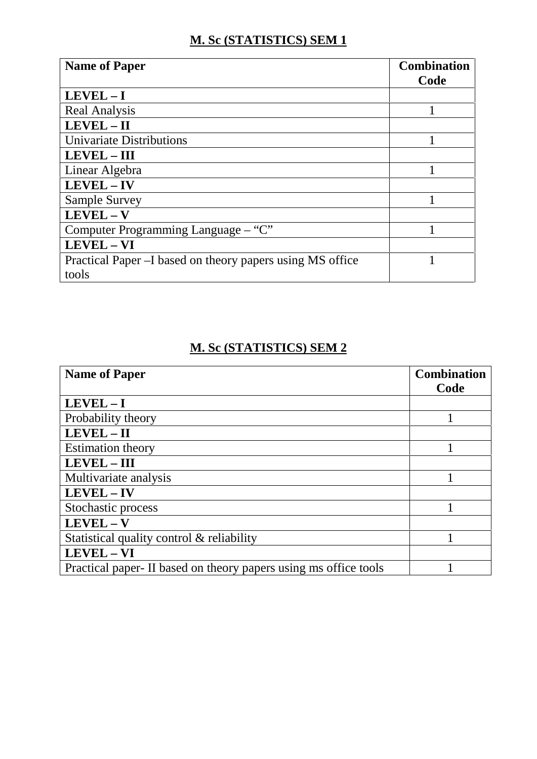## **M. Sc (STATISTICS) SEM 1**

| <b>Name of Paper</b>                                      | <b>Combination</b><br>Code |
|-----------------------------------------------------------|----------------------------|
| $LEVEL - I$                                               |                            |
| <b>Real Analysis</b>                                      |                            |
| LEVEL - II                                                |                            |
| Univariate Distributions                                  |                            |
| <b>LEVEL-III</b>                                          |                            |
| Linear Algebra                                            |                            |
| $LEVEL - IV$                                              |                            |
| <b>Sample Survey</b>                                      |                            |
| $LEVEL - V$                                               |                            |
| Computer Programming Language – "C"                       |                            |
| LEVEL - VI                                                |                            |
| Practical Paper –I based on theory papers using MS office |                            |
| tools                                                     |                            |

#### **M. Sc (STATISTICS) SEM 2**

| <b>Name of Paper</b>                                             | <b>Combination</b> |
|------------------------------------------------------------------|--------------------|
|                                                                  | Code               |
| $LEVEL - I$                                                      |                    |
| Probability theory                                               |                    |
| $LEVEL - II$                                                     |                    |
| <b>Estimation theory</b>                                         |                    |
| <b>LEVEL-III</b>                                                 |                    |
| Multivariate analysis                                            |                    |
| LEVEL - IV                                                       |                    |
| Stochastic process                                               |                    |
| $LEVEL - V$                                                      |                    |
| Statistical quality control & reliability                        |                    |
| LEVEL - VI                                                       |                    |
| Practical paper- II based on theory papers using ms office tools |                    |